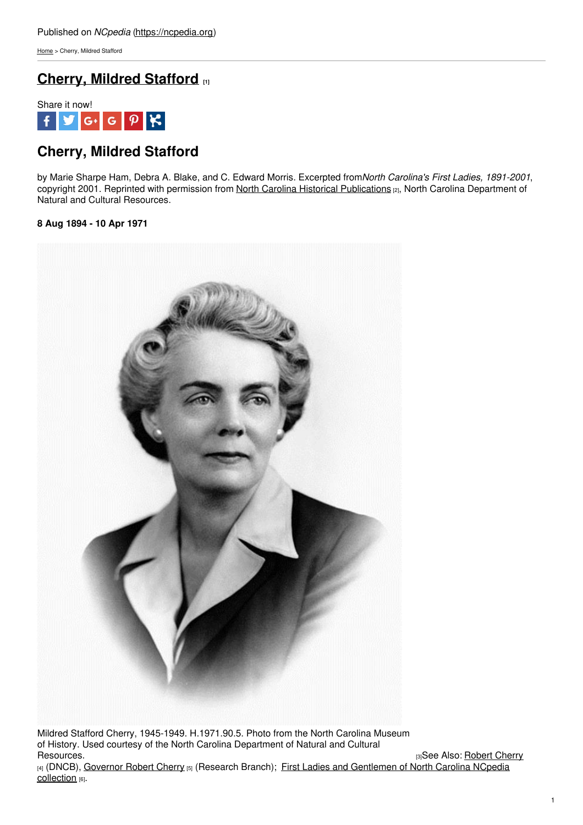[Home](https://ncpedia.org/) > Cherry, Mildred Stafford

## **Cherry, Mildred [Stafford](https://ncpedia.org/cherry-mildred-stafford) [1]**



# **Cherry, Mildred Stafford**

by Marie Sharpe Ham, Debra A. Blake, and C. Edward Morris. Excerpted from*North Carolina's First Ladies, 1891-2001*, copyright 2001. Reprinted with permission from North Carolina Historical [Publications](https://www.ncdcr.gov/about/history/historical-publications) [2], North Carolina Department of Natural and Cultural Resources.

### **8 Aug 1894 - 10 Apr 1971**



Mildred Stafford Cherry, 1945-1949. H.1971.90.5. Photo from the North Carolina Museum of History. Used courtesy of the North Carolina Department of Natural and Cultural

[3]See Also: [Robert](https://ncpedia.org/biography/cherry-robert-gregg) Cherry [4] (DNCB), [Governor](https://ncpedia.org/cherry-robert-gregg-resesarch) Robert Cherry [5] (Research Branch); First Ladies and [Gentlemen](http://www.ncpedia.org/node/12179/) of North Carolina NCpedia collection [6].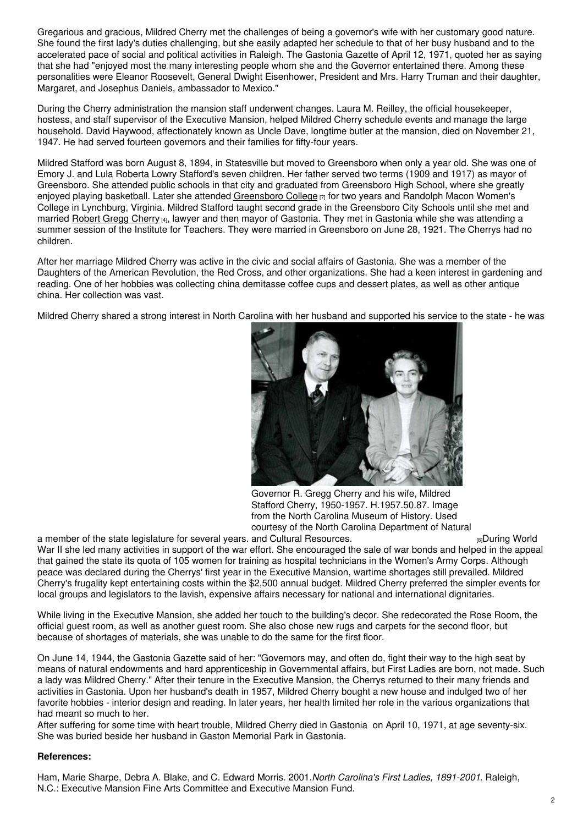Gregarious and gracious, Mildred Cherry met the challenges of being a governor's wife with her customary good nature. She found the first lady's duties challenging, but she easily adapted her schedule to that of her busy husband and to the accelerated pace of social and political activities in Raleigh. The Gastonia Gazette of April 12, 1971, quoted her as saying that she had "enjoyed most the many interesting people whom she and the Governor entertained there. Among these personalities were Eleanor Roosevelt, General Dwight Eisenhower, President and Mrs. Harry Truman and their daughter, Margaret, and Josephus Daniels, ambassador to Mexico."

During the Cherry administration the mansion staff underwent changes. Laura M. Reilley, the official housekeeper, hostess, and staff supervisor of the Executive Mansion, helped Mildred Cherry schedule events and manage the large household. David Haywood, affectionately known as Uncle Dave, longtime butler at the mansion, died on November 21, 1947. He had served fourteen governors and their families for fifty-four years.

Mildred Stafford was born August 8, 1894, in Statesville but moved to Greensboro when only a year old. She was one of Emory J. and Lula Roberta Lowry Stafford's seven children. Her father served two terms (1909 and 1917) as mayor of Greensboro. She attended public schools in that city and graduated from Greensboro High School, where she greatly enjoyed playing basketball. Later she attended [Greensboro](https://ncpedia.org/greensboro-college) College [7] for two years and Randolph Macon Women's College in Lynchburg, Virginia. Mildred Stafford taught second grade in the Greensboro City Schools until she met and married [Robert](https://ncpedia.org/biography/cherry-robert-gregg) Gregg Cherry [4], lawyer and then mayor of Gastonia. They met in Gastonia while she was attending a summer session of the Institute for Teachers. They were married in Greensboro on June 28, 1921. The Cherrys had no children.

After her marriage Mildred Cherry was active in the civic and social affairs of Gastonia. She was a member of the Daughters of the American Revolution, the Red Cross, and other organizations. She had a keen interest in gardening and reading. One of her hobbies was collecting china demitasse coffee cups and dessert plates, as well as other antique china. Her collection was vast.

Mildred Cherry shared a strong interest in North Carolina with her husband and supported his service to the state - he was



Governor R. Gregg Cherry and his wife, Mildred Stafford Cherry, 1950-1957. H.1957.50.87. Image from the North Carolina Museum of History. Used courtesy of the North Carolina Department of Natural

a member of the state legislature for several years. and Cultural [Resources.](http://collections.ncdcr.gov/RediscoveryProficioPublicSearch/ShowItem.aspx?62561+) **Example 2018** and The resources and Cultural Resources. War II she led many activities in support of the war effort. She encouraged the sale of war bonds and helped in the appeal that gained the state its quota of 105 women for training as hospital technicians in the Women's Army Corps. Although peace was declared during the Cherrys' first year in the Executive Mansion, wartime shortages still prevailed. Mildred Cherry's frugality kept entertaining costs within the \$2,500 annual budget. Mildred Cherry preferred the simpler events for local groups and legislators to the lavish, expensive affairs necessary for national and international dignitaries.

While living in the Executive Mansion, she added her touch to the building's decor. She redecorated the Rose Room, the official guest room, as well as another guest room. She also chose new rugs and carpets for the second floor, but because of shortages of materials, she was unable to do the same for the first floor.

On June 14, 1944, the Gastonia Gazette said of her: "Governors may, and often do, fight their way to the high seat by means of natural endowments and hard apprenticeship in Governmental affairs, but First Ladies are born, not made. Such a lady was Mildred Cherry." After their tenure in the Executive Mansion, the Cherrys returned to their many friends and activities in Gastonia. Upon her husband's death in 1957, Mildred Cherry bought a new house and indulged two of her favorite hobbies - interior design and reading. In later years, her health limited her role in the various organizations that had meant so much to her.

After suffering for some time with heart trouble, Mildred Cherry died in Gastonia on April 10, 1971, at age seventy-six. She was buried beside her husband in Gaston Memorial Park in Gastonia.

### **References:**

Ham, Marie Sharpe, Debra A. Blake, and C. Edward Morris. 2001.*North Carolina's First Ladies, 1891-2001*. Raleigh, N.C.: Executive Mansion Fine Arts Committee and Executive Mansion Fund.